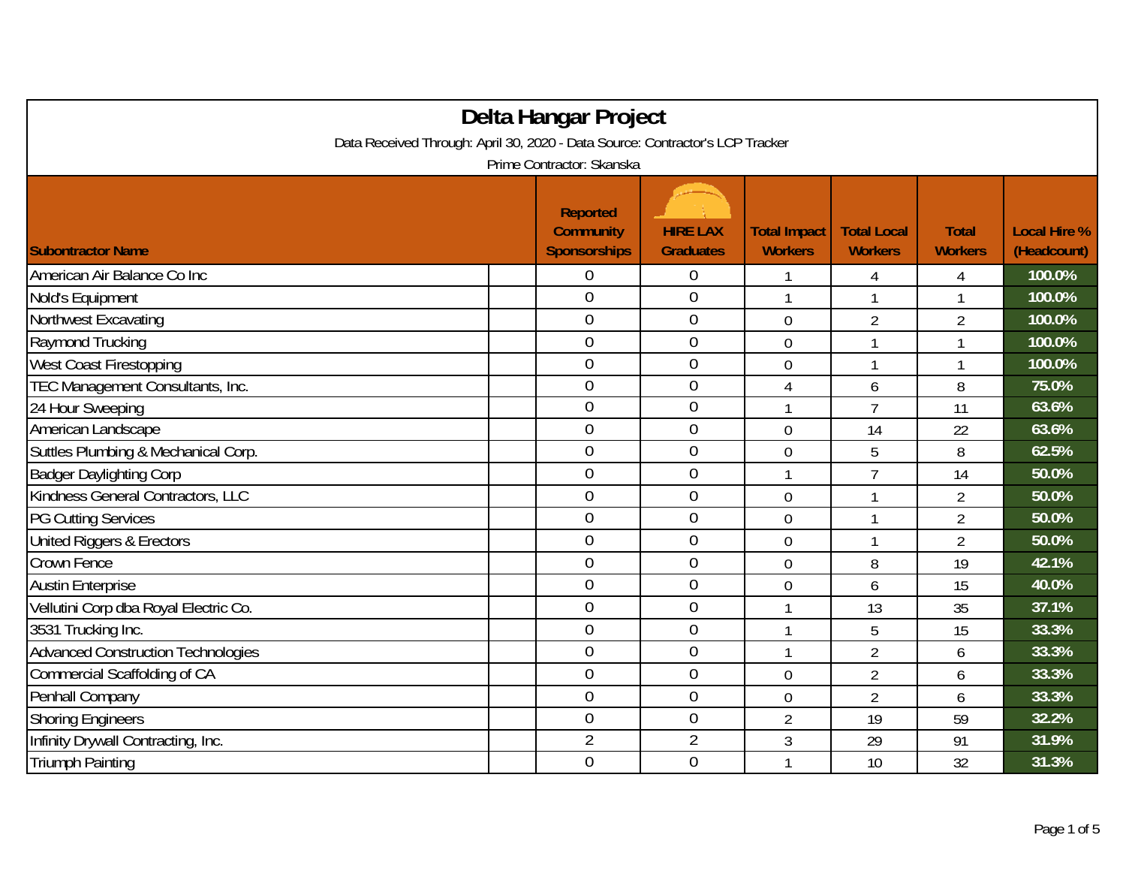| Delta Hangar Project                                                          |                                                            |                                     |                                       |                                      |                                |                                    |  |  |
|-------------------------------------------------------------------------------|------------------------------------------------------------|-------------------------------------|---------------------------------------|--------------------------------------|--------------------------------|------------------------------------|--|--|
| Data Received Through: April 30, 2020 - Data Source: Contractor's LCP Tracker |                                                            |                                     |                                       |                                      |                                |                                    |  |  |
| Prime Contractor: Skanska                                                     |                                                            |                                     |                                       |                                      |                                |                                    |  |  |
| <b>Subontractor Name</b>                                                      | <b>Reported</b><br><b>Community</b><br><b>Sponsorships</b> | <b>HIRE LAX</b><br><b>Graduates</b> | <b>Total Impact</b><br><b>Workers</b> | <b>Total Local</b><br><b>Workers</b> | <b>Total</b><br><b>Workers</b> | <b>Local Hire %</b><br>(Headcount) |  |  |
| American Air Balance Co Inc                                                   | 0                                                          | 0                                   |                                       | 4                                    | 4                              | 100.0%                             |  |  |
| Nold's Equipment                                                              | $\mathbf 0$                                                | $\mathbf 0$                         | $\mathbf{1}$                          | 1                                    | $\mathbf{1}$                   | 100.0%                             |  |  |
| Northwest Excavating                                                          | $\mathbf 0$                                                | $\boldsymbol{0}$                    | $\mathbf 0$                           | $\overline{2}$                       | $\overline{2}$                 | 100.0%                             |  |  |
| Raymond Trucking                                                              | $\overline{0}$                                             | $\overline{0}$                      | $\overline{0}$                        | 1                                    | 1                              | 100.0%                             |  |  |
| West Coast Firestopping                                                       | $\overline{0}$                                             | $\mathbf{0}$                        | 0                                     |                                      | 1                              | 100.0%                             |  |  |
| TEC Management Consultants, Inc.                                              | $\overline{0}$                                             | $\overline{0}$                      | 4                                     | 6                                    | 8                              | 75.0%                              |  |  |
| 24 Hour Sweeping                                                              | $\overline{0}$                                             | $\boldsymbol{0}$                    | 1                                     | $\overline{7}$                       | 11                             | 63.6%                              |  |  |
| American Landscape                                                            | $\mathbf 0$                                                | $\mathbf 0$                         | $\overline{0}$                        | 14                                   | 22                             | 63.6%                              |  |  |
| Suttles Plumbing & Mechanical Corp.                                           | $\overline{0}$                                             | $\mathbf 0$                         | $\mathbf 0$                           | 5                                    | 8                              | 62.5%                              |  |  |
| <b>Badger Daylighting Corp</b>                                                | $\overline{0}$                                             | $\overline{0}$                      | 1                                     | $\overline{7}$                       | 14                             | 50.0%                              |  |  |
| Kindness General Contractors, LLC                                             | $\overline{0}$                                             | $\mathbf 0$                         | $\overline{0}$                        | 1                                    | $\overline{2}$                 | 50.0%                              |  |  |
| <b>PG Cutting Services</b>                                                    | 0                                                          | $\mathbf{0}$                        | $\mathbf 0$                           |                                      | $\overline{2}$                 | 50.0%                              |  |  |
| United Riggers & Erectors                                                     | $\overline{0}$                                             | $\overline{0}$                      | $\overline{0}$                        | 1                                    | $\overline{2}$                 | 50.0%                              |  |  |
| Crown Fence                                                                   | $\overline{0}$                                             | $\mathbf 0$                         | $\mathbf 0$                           | 8                                    | 19                             | 42.1%                              |  |  |
| <b>Austin Enterprise</b>                                                      | $\overline{0}$                                             | $\mathbf 0$                         | $\overline{0}$                        | 6                                    | 15                             | 40.0%                              |  |  |
| Vellutini Corp dba Royal Electric Co.                                         | $\overline{0}$                                             | $\boldsymbol{0}$                    | 1                                     | 13                                   | 35                             | 37.1%                              |  |  |
| 3531 Trucking Inc.                                                            | $\mathbf 0$                                                | $\mathbf{0}$                        | 1                                     | 5                                    | 15                             | 33.3%                              |  |  |
| <b>Advanced Construction Technologies</b>                                     | $\overline{0}$                                             | $\mathbf 0$                         | 1                                     | $\overline{2}$                       | 6                              | 33.3%                              |  |  |
| Commercial Scaffolding of CA                                                  | $\mathbf 0$                                                | $\overline{0}$                      | $\overline{0}$                        | $\overline{2}$                       | 6                              | 33.3%                              |  |  |
| Penhall Company                                                               | $\overline{0}$                                             | $\mathbf 0$                         | 0                                     | $\overline{2}$                       | 6                              | 33.3%                              |  |  |
| <b>Shoring Engineers</b>                                                      | $\overline{0}$                                             | $\mathbf 0$                         | $\overline{2}$                        | 19                                   | 59                             | 32.2%                              |  |  |
| Infinity Drywall Contracting, Inc.                                            | $\overline{2}$                                             | $\overline{2}$                      | 3                                     | 29                                   | 91                             | 31.9%                              |  |  |
| <b>Triumph Painting</b>                                                       | $\overline{0}$                                             | $\overline{0}$                      | 1                                     | 10                                   | 32                             | 31.3%                              |  |  |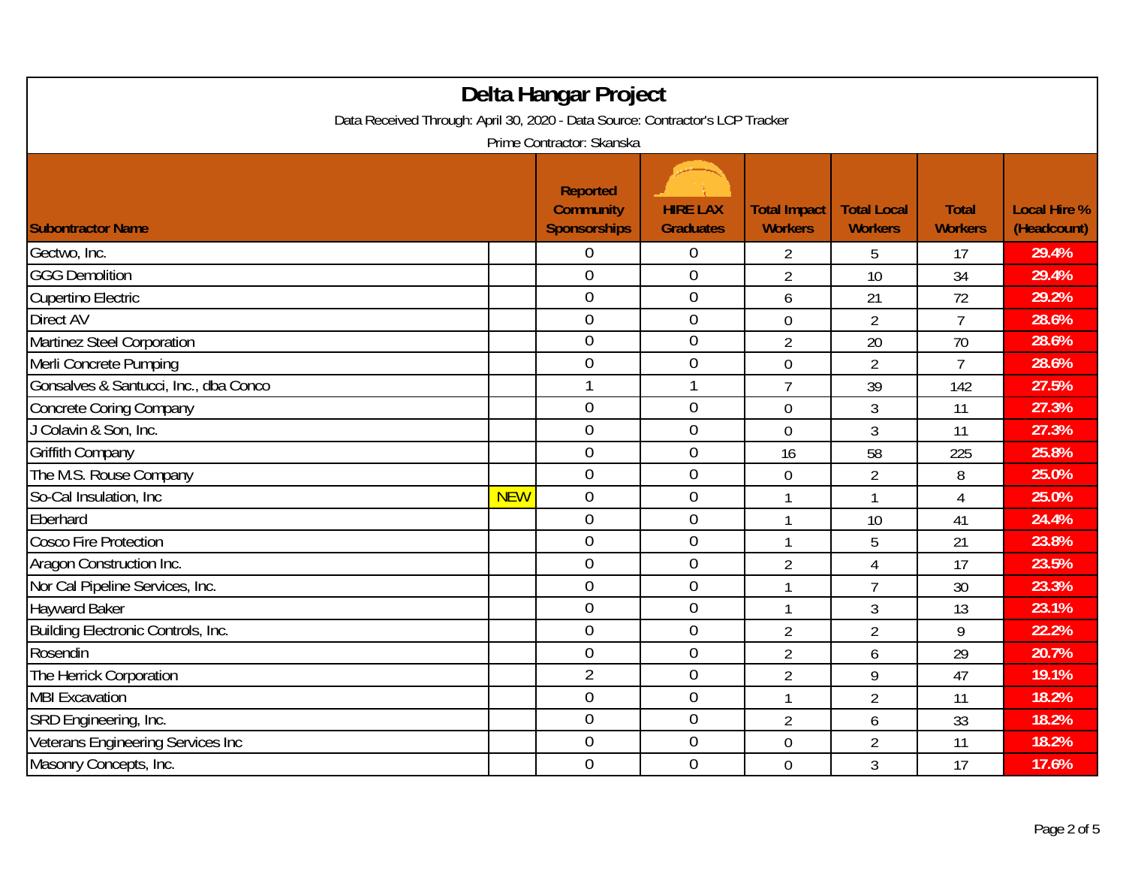| Delta Hangar Project<br>Data Received Through: April 30, 2020 - Data Source: Contractor's LCP Tracker |            |                                                                                         |                                     |                                       |                                      |                                |                                    |
|-------------------------------------------------------------------------------------------------------|------------|-----------------------------------------------------------------------------------------|-------------------------------------|---------------------------------------|--------------------------------------|--------------------------------|------------------------------------|
| <b>Subontractor Name</b>                                                                              |            | Prime Contractor: Skanska<br><b>Reported</b><br><b>Community</b><br><b>Sponsorships</b> | <b>HIRE LAX</b><br><b>Graduates</b> | <b>Total Impact</b><br><b>Workers</b> | <b>Total Local</b><br><b>Workers</b> | <b>Total</b><br><b>Workers</b> | <b>Local Hire %</b><br>(Headcount) |
| Gectwo, Inc.                                                                                          |            | 0                                                                                       | 0                                   | 2                                     | 5                                    | 17                             | 29.4%                              |
| <b>GGG Demolition</b>                                                                                 |            | $\overline{0}$                                                                          | $\boldsymbol{0}$                    | $\overline{2}$                        | 10                                   | 34                             | 29.4%                              |
| Cupertino Electric                                                                                    |            | $\overline{0}$                                                                          | $\boldsymbol{0}$                    | 6                                     | 21                                   | 72                             | 29.2%                              |
| <b>Direct AV</b>                                                                                      |            | $\overline{0}$                                                                          | $\boldsymbol{0}$                    | $\overline{0}$                        | $\overline{2}$                       | $\overline{7}$                 | 28.6%                              |
| Martinez Steel Corporation                                                                            |            | $\overline{0}$                                                                          | $\boldsymbol{0}$                    | $\overline{2}$                        | 20                                   | 70                             | 28.6%                              |
| Merli Concrete Pumping                                                                                |            | $\overline{0}$                                                                          | $\overline{0}$                      | 0                                     | $\overline{2}$                       | $\overline{7}$                 | 28.6%                              |
| Gonsalves & Santucci, Inc., dba Conco                                                                 |            |                                                                                         |                                     | $\overline{7}$                        | 39                                   | 142                            | 27.5%                              |
| <b>Concrete Coring Company</b>                                                                        |            | $\overline{0}$                                                                          | $\boldsymbol{0}$                    | 0                                     | 3                                    | 11                             | 27.3%                              |
| J Colavin & Son, Inc.                                                                                 |            | $\overline{0}$                                                                          | $\boldsymbol{0}$                    | $\mathbf 0$                           | 3                                    | 11                             | 27.3%                              |
| <b>Griffith Company</b>                                                                               |            | $\mathbf 0$                                                                             | $\boldsymbol{0}$                    | 16                                    | 58                                   | 225                            | 25.8%                              |
| The M.S. Rouse Company                                                                                |            | $\overline{0}$                                                                          | $\overline{0}$                      | 0                                     | $\overline{2}$                       | 8                              | 25.0%                              |
| So-Cal Insulation, Inc.                                                                               | <b>NEW</b> | $\mathbf 0$                                                                             | $\boldsymbol{0}$                    | 1                                     | 1                                    | 4                              | 25.0%                              |
| Eberhard                                                                                              |            | $\overline{0}$                                                                          | $\overline{0}$                      | 1                                     | 10                                   | 41                             | 24.4%                              |
| <b>Cosco Fire Protection</b>                                                                          |            | $\overline{0}$                                                                          | $\boldsymbol{0}$                    | $\mathbf{1}$                          | 5                                    | 21                             | 23.8%                              |
| Aragon Construction Inc.                                                                              |            | $\mathbf 0$                                                                             | $\boldsymbol{0}$                    | $\overline{2}$                        | $\overline{4}$                       | 17                             | 23.5%                              |
| Nor Cal Pipeline Services, Inc.                                                                       |            | $\mathbf 0$                                                                             | $\boldsymbol{0}$                    | $\mathbf{1}$                          | $\overline{7}$                       | 30                             | 23.3%                              |
| <b>Hayward Baker</b>                                                                                  |            | $\overline{0}$                                                                          | $\boldsymbol{0}$                    | 1                                     | 3                                    | 13                             | 23.1%                              |
| Building Electronic Controls, Inc.                                                                    |            | $\overline{0}$                                                                          | $\overline{0}$                      | $\overline{2}$                        | $\overline{2}$                       | 9                              | 22.2%                              |
| Rosendin                                                                                              |            | $\overline{0}$                                                                          | $\boldsymbol{0}$                    | $\overline{2}$                        | 6                                    | 29                             | 20.7%                              |
| The Herrick Corporation                                                                               |            | $\overline{2}$                                                                          | $\boldsymbol{0}$                    | $\overline{2}$                        | 9                                    | 47                             | 19.1%                              |
| <b>MBI Excavation</b>                                                                                 |            | $\overline{0}$                                                                          | $\boldsymbol{0}$                    | $\mathbf{1}$                          | $\overline{2}$                       | 11                             | 18.2%                              |
| SRD Engineering, Inc.                                                                                 |            | $\mathbf 0$                                                                             | $\boldsymbol{0}$                    | $\overline{2}$                        | 6                                    | 33                             | 18.2%                              |
| Veterans Engineering Services Inc                                                                     |            | $\overline{0}$                                                                          | $\boldsymbol{0}$                    | 0                                     | $\overline{2}$                       | 11                             | 18.2%                              |
| Masonry Concepts, Inc.                                                                                |            | $\overline{0}$                                                                          | $\mathbf 0$                         | $\overline{0}$                        | 3                                    | 17                             | 17.6%                              |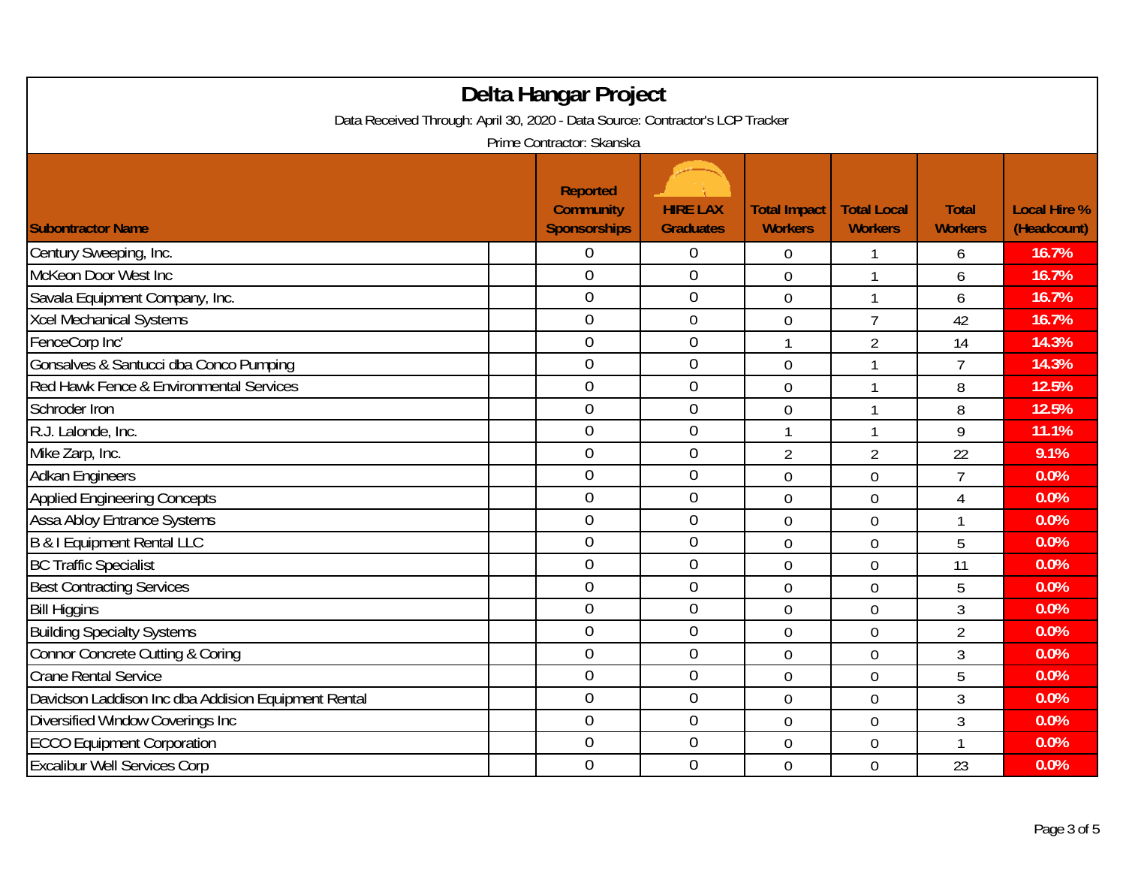| Delta Hangar Project<br>Data Received Through: April 30, 2020 - Data Source: Contractor's LCP Tracker |                                                            |                                     |                                       |                                      |                                |                                    |  |  |  |
|-------------------------------------------------------------------------------------------------------|------------------------------------------------------------|-------------------------------------|---------------------------------------|--------------------------------------|--------------------------------|------------------------------------|--|--|--|
| Prime Contractor: Skanska                                                                             |                                                            |                                     |                                       |                                      |                                |                                    |  |  |  |
| <b>Subontractor Name</b>                                                                              | <b>Reported</b><br><b>Community</b><br><b>Sponsorships</b> | <b>HIRE LAX</b><br><b>Graduates</b> | <b>Total Impact</b><br><b>Workers</b> | <b>Total Local</b><br><b>Workers</b> | <b>Total</b><br><b>Workers</b> | <b>Local Hire %</b><br>(Headcount) |  |  |  |
| Century Sweeping, Inc.                                                                                | 0                                                          | 0                                   | $\overline{0}$                        |                                      | 6                              | 16.7%                              |  |  |  |
| McKeon Door West Inc                                                                                  | $\overline{0}$                                             | $\boldsymbol{0}$                    | $\overline{0}$                        | $\mathbf{1}$                         | 6                              | 16.7%                              |  |  |  |
| Savala Equipment Company, Inc.                                                                        | $\overline{0}$                                             | $\mathbf 0$                         | $\overline{0}$                        | $\mathbf{1}$                         | 6                              | 16.7%                              |  |  |  |
| <b>Xcel Mechanical Systems</b>                                                                        | $\overline{0}$                                             | $\boldsymbol{0}$                    | $\mathbf 0$                           | $\overline{7}$                       | 42                             | 16.7%                              |  |  |  |
| FenceCorp Inc'                                                                                        | $\overline{0}$                                             | $\overline{0}$                      | $\mathbf{1}$                          | $\overline{2}$                       | 14                             | 14.3%                              |  |  |  |
| Gonsalves & Santucci dba Conco Pumping                                                                | $\overline{0}$                                             | $\overline{0}$                      | $\mathbf 0$                           | -1                                   | $\overline{7}$                 | 14.3%                              |  |  |  |
| Red Hawk Fence & Environmental Services                                                               | $\overline{0}$                                             | $\overline{0}$                      | $\mathbf 0$                           |                                      | 8                              | 12.5%                              |  |  |  |
| Schroder Iron                                                                                         | $\overline{0}$                                             | $\mathbf 0$                         | $\mathbf 0$                           | $\mathbf{1}$                         | 8                              | 12.5%                              |  |  |  |
| R.J. Lalonde, Inc.                                                                                    | $\boldsymbol{0}$                                           | $\boldsymbol{0}$                    | 1                                     | -1                                   | 9                              | 11.1%                              |  |  |  |
| Mike Zarp, Inc.                                                                                       | $\overline{0}$                                             | $\boldsymbol{0}$                    | $\overline{2}$                        | $\overline{2}$                       | 22                             | 9.1%                               |  |  |  |
| <b>Adkan Engineers</b>                                                                                | $\overline{0}$                                             | $\boldsymbol{0}$                    | $\overline{0}$                        | $\overline{0}$                       | $\overline{7}$                 | 0.0%                               |  |  |  |
| <b>Applied Engineering Concepts</b>                                                                   | $\overline{0}$                                             | $\mathbf 0$                         | $\mathbf 0$                           | $\mathbf 0$                          | 4                              | 0.0%                               |  |  |  |
| <b>Assa Abloy Entrance Systems</b>                                                                    | $\overline{0}$                                             | $\boldsymbol{0}$                    | $\mathbf 0$                           | $\mathbf 0$                          | $\mathbf{1}$                   | 0.0%                               |  |  |  |
| <b>B &amp; I Equipment Rental LLC</b>                                                                 | $\overline{0}$                                             | $\mathbf 0$                         | $\overline{0}$                        | $\overline{0}$                       | 5                              | 0.0%                               |  |  |  |
| <b>BC Traffic Specialist</b>                                                                          | $\mathbf 0$                                                | $\boldsymbol{0}$                    | $\mathbf 0$                           | $\mathbf 0$                          | 11                             | 0.0%                               |  |  |  |
| <b>Best Contracting Services</b>                                                                      | $\mathbf 0$                                                | $\boldsymbol{0}$                    | $\overline{0}$                        | $\overline{0}$                       | 5                              | 0.0%                               |  |  |  |
| <b>Bill Higgins</b>                                                                                   | $\overline{0}$                                             | $\overline{0}$                      | $\overline{0}$                        | $\overline{0}$                       | 3                              | 0.0%                               |  |  |  |
| <b>Building Specialty Systems</b>                                                                     | $\overline{0}$                                             | $\mathbf 0$                         | $\mathbf 0$                           | $\mathbf 0$                          | $\overline{2}$                 | 0.0%                               |  |  |  |
| <b>Connor Concrete Cutting &amp; Coring</b>                                                           | $\overline{0}$                                             | $\overline{0}$                      | $\mathbf 0$                           | $\mathbf 0$                          | $\overline{3}$                 | 0.0%                               |  |  |  |
| <b>Crane Rental Service</b>                                                                           | $\mathbf 0$                                                | $\boldsymbol{0}$                    | $\mathbf 0$                           | $\mathbf 0$                          | 5                              | 0.0%                               |  |  |  |
| Davidson Laddison Inc dba Addision Equipment Rental                                                   | $\overline{0}$                                             | $\boldsymbol{0}$                    | $\overline{0}$                        | $\mathbf 0$                          | 3                              | 0.0%                               |  |  |  |
| Diversified Window Coverings Inc                                                                      | $\overline{0}$                                             | $\mathbf 0$                         | $\mathbf 0$                           | $\mathbf 0$                          | $\overline{3}$                 | 0.0%                               |  |  |  |
| <b>ECCO Equipment Corporation</b>                                                                     | $\boldsymbol{0}$                                           | $\boldsymbol{0}$                    | $\mathbf 0$                           | $\mathbf 0$                          | $\mathbf{1}$                   | 0.0%                               |  |  |  |
| <b>Excalibur Well Services Corp</b>                                                                   | $\overline{0}$                                             | $\overline{0}$                      | $\overline{0}$                        | $\overline{0}$                       | 23                             | 0.0%                               |  |  |  |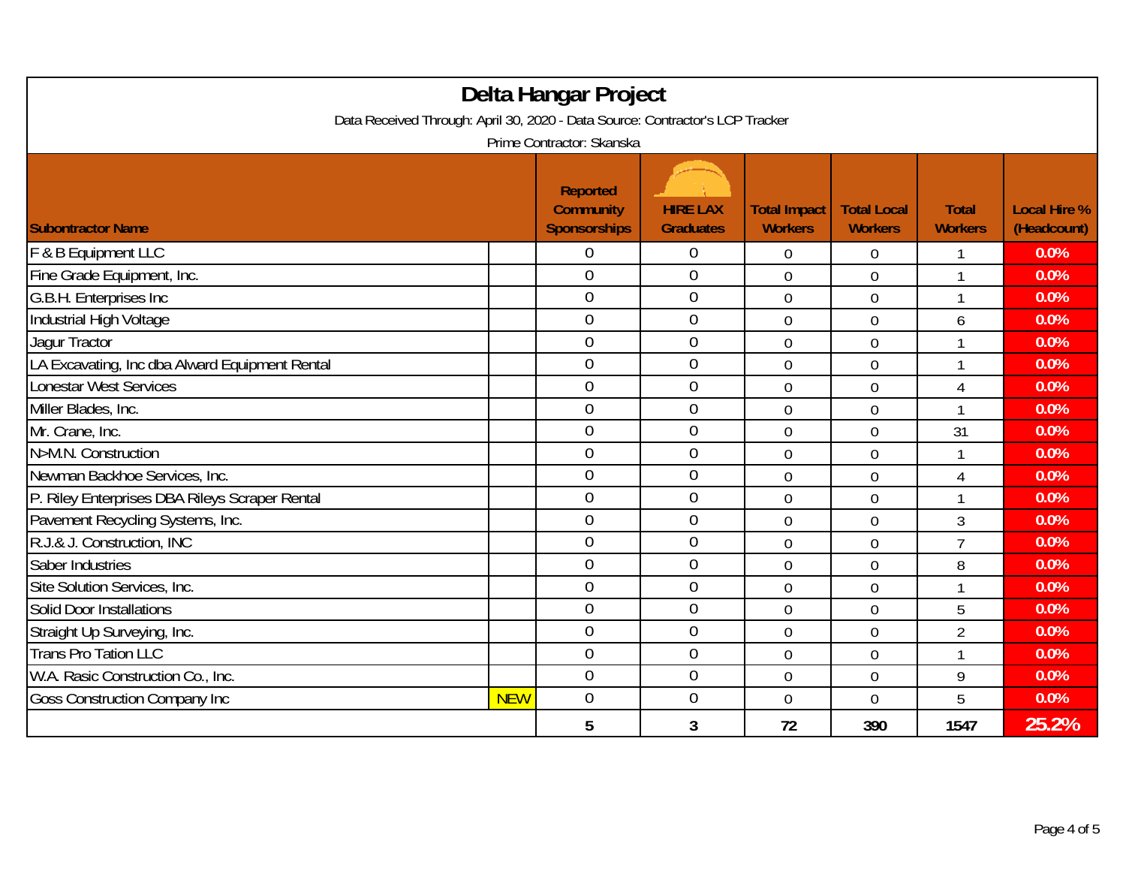| Delta Hangar Project<br>Data Received Through: April 30, 2020 - Data Source: Contractor's LCP Tracker<br>Prime Contractor: Skanska |            |                  |                  |                |                |                |       |
|------------------------------------------------------------------------------------------------------------------------------------|------------|------------------|------------------|----------------|----------------|----------------|-------|
|                                                                                                                                    |            |                  |                  |                |                |                |       |
| F & B Equipment LLC                                                                                                                |            | $\overline{0}$   | $\boldsymbol{0}$ | $\mathbf 0$    | $\mathbf 0$    | $\mathbf 1$    | 0.0%  |
| Fine Grade Equipment, Inc.                                                                                                         |            | $\overline{0}$   | $\overline{0}$   | $\overline{0}$ | $\overline{0}$ | 1              | 0.0%  |
| G.B.H. Enterprises Inc                                                                                                             |            | $\overline{0}$   | $\overline{0}$   | $\overline{0}$ | $\overline{0}$ | 1              | 0.0%  |
| Industrial High Voltage                                                                                                            |            | $\overline{0}$   | $\boldsymbol{0}$ | $\overline{0}$ | $\overline{0}$ | 6              | 0.0%  |
| Jagur Tractor                                                                                                                      |            | $\boldsymbol{0}$ | $\boldsymbol{0}$ | $\mathbf 0$    | $\mathbf 0$    | 1              | 0.0%  |
| LA Excavating, Inc dba Alward Equipment Rental                                                                                     |            | $\overline{0}$   | $\mathbf 0$      | $\overline{0}$ | $\overline{0}$ | 1              | 0.0%  |
| <b>Lonestar West Services</b>                                                                                                      |            | $\overline{0}$   | $\overline{0}$   | $\overline{0}$ | $\overline{0}$ | 4              | 0.0%  |
| Miller Blades, Inc.                                                                                                                |            | $\overline{0}$   | $\overline{0}$   | $\overline{0}$ | $\overline{0}$ | 1              | 0.0%  |
| Mr. Crane, Inc.                                                                                                                    |            | $\overline{0}$   | $\mathbf 0$      | $\overline{0}$ | $\overline{0}$ | 31             | 0.0%  |
| N>M.N. Construction                                                                                                                |            | $\overline{0}$   | $\overline{0}$   | $\overline{0}$ | $\overline{0}$ | 1              | 0.0%  |
| Newman Backhoe Services, Inc.                                                                                                      |            | $\overline{0}$   | $\boldsymbol{0}$ | $\overline{0}$ | $\overline{0}$ | 4              | 0.0%  |
| P. Riley Enterprises DBA Rileys Scraper Rental                                                                                     |            | $\overline{0}$   | $\boldsymbol{0}$ | $\overline{0}$ | $\overline{0}$ | 1              | 0.0%  |
| Pavement Recycling Systems, Inc.                                                                                                   |            | $\boldsymbol{0}$ | $\boldsymbol{0}$ | $\mathbf 0$    | $\mathbf 0$    | 3              | 0.0%  |
| R.J.& J. Construction, INC                                                                                                         |            | $\overline{0}$   | $\overline{0}$   | $\overline{0}$ | $\overline{0}$ | $\overline{7}$ | 0.0%  |
| Saber Industries                                                                                                                   |            | $\overline{0}$   | $\overline{0}$   | $\overline{0}$ | $\overline{0}$ | 8              | 0.0%  |
| Site Solution Services, Inc.                                                                                                       |            | $\overline{0}$   | $\overline{0}$   | $\overline{0}$ | $\overline{0}$ | $\mathbf{1}$   | 0.0%  |
| <b>Solid Door Installations</b>                                                                                                    |            | $\overline{0}$   | $\mathbf 0$      | $\overline{0}$ | $\overline{0}$ | 5              | 0.0%  |
| Straight Up Surveying, Inc.                                                                                                        |            | $\overline{0}$   | $\mathbf 0$      | $\overline{0}$ | $\overline{0}$ | $\overline{2}$ | 0.0%  |
| <b>Trans Pro Tation LLC</b>                                                                                                        |            | $\overline{0}$   | $\mathbf 0$      | $\overline{0}$ | $\overline{0}$ | $\mathbf{1}$   | 0.0%  |
| W.A. Rasic Construction Co., Inc.                                                                                                  |            | $\overline{0}$   | $\boldsymbol{0}$ | $\overline{0}$ | $\overline{0}$ | 9              | 0.0%  |
| <b>Goss Construction Company Inc</b>                                                                                               | <b>NEW</b> | $\overline{0}$   | $\boldsymbol{0}$ | $\mathbf 0$    | $\mathbf 0$    | 5              | 0.0%  |
|                                                                                                                                    |            | 5                | 3                | 72             | 390            | 1547           | 25.2% |